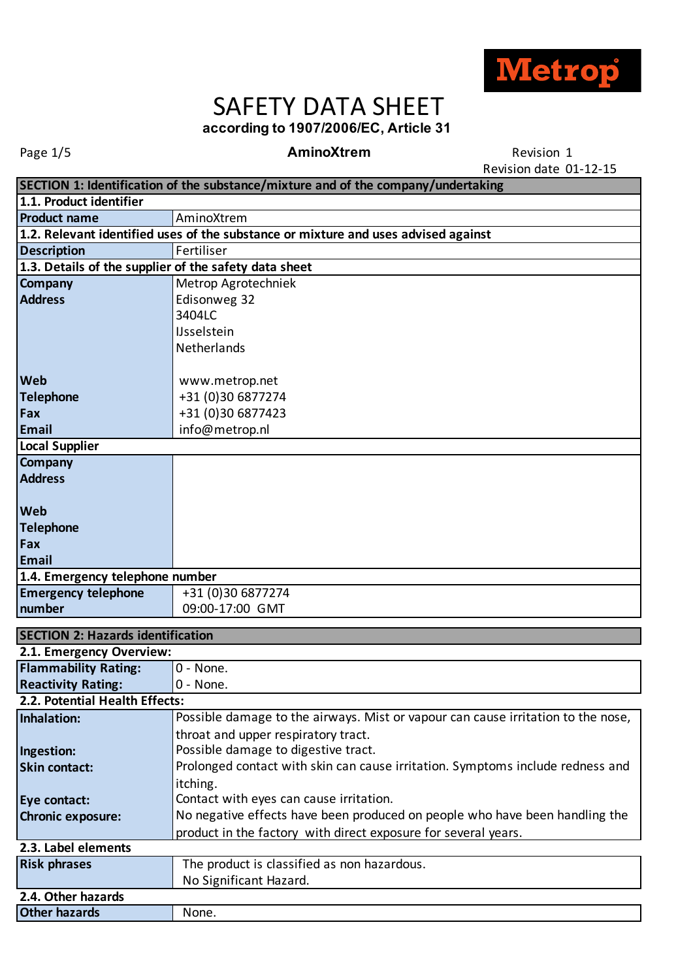

## SAFETY DATA SHEET **according to 1907/2006/EC, Article 31**

Page 1/5 Revision 1

Revision date 01-12-15

|                                                       | SECTION 1: Identification of the substance/mixture and of the company/undertaking  |
|-------------------------------------------------------|------------------------------------------------------------------------------------|
| 1.1. Product identifier                               |                                                                                    |
| <b>Product name</b>                                   | AminoXtrem                                                                         |
|                                                       | 1.2. Relevant identified uses of the substance or mixture and uses advised against |
| <b>Description</b>                                    | Fertiliser                                                                         |
| 1.3. Details of the supplier of the safety data sheet |                                                                                    |
| <b>Company</b>                                        | Metrop Agrotechniek                                                                |
| <b>Address</b>                                        | Edisonweg 32                                                                       |
|                                                       | 3404LC                                                                             |
|                                                       | <b>IJsselstein</b>                                                                 |
|                                                       | Netherlands                                                                        |
|                                                       |                                                                                    |
| <b>Web</b>                                            | www.metrop.net                                                                     |
| <b>Telephone</b>                                      | +31 (0)30 6877274                                                                  |
| Fax                                                   | +31 (0)30 6877423                                                                  |
| Email                                                 | info@metrop.nl                                                                     |
| Local Supplier                                        |                                                                                    |
| <b>Company</b>                                        |                                                                                    |
| <b>Address</b>                                        |                                                                                    |
|                                                       |                                                                                    |
| <b>Web</b>                                            |                                                                                    |
| Telephone                                             |                                                                                    |
| Fax                                                   |                                                                                    |
| Email                                                 |                                                                                    |
| 1.4. Emergency telephone number                       |                                                                                    |
| <b>Emergency telephone</b>                            | +31 (0)30 6877274                                                                  |
| number                                                | 09:00-17:00 GMT                                                                    |
| <b>SECTION 2: Hazards identification</b>              |                                                                                    |
| 2.1. Emergency Overview:                              |                                                                                    |
| <b>Flammability Rating:</b>                           | $0 - None.$                                                                        |
| <b>Reactivity Rating:</b>                             | $0 - None.$                                                                        |
| 2.2. Potential Health Effects:                        |                                                                                    |
| Inhalation:                                           | Possible damage to the airways. Mist or vapour can cause irritation to the nose,   |
|                                                       | throat and upper respiratory tract.                                                |
| Ingestion:                                            | Possible damage to digestive tract.                                                |
| <b>Skin contact:</b>                                  | Prolonged contact with skin can cause irritation. Symptoms include redness and     |
|                                                       | itching.                                                                           |
| Eye contact:                                          | Contact with eyes can cause irritation.                                            |
| <b>Chronic exposure:</b>                              | No negative effects have been produced on people who have been handling the        |
|                                                       | product in the factory with direct exposure for several years.                     |
| 2.3. Label elements                                   |                                                                                    |
| <b>Risk phrases</b>                                   | The product is classified as non hazardous.                                        |
|                                                       | No Significant Hazard.                                                             |
| 2.4. Other hazards                                    |                                                                                    |
| <b>Other hazards</b>                                  | None.                                                                              |
|                                                       |                                                                                    |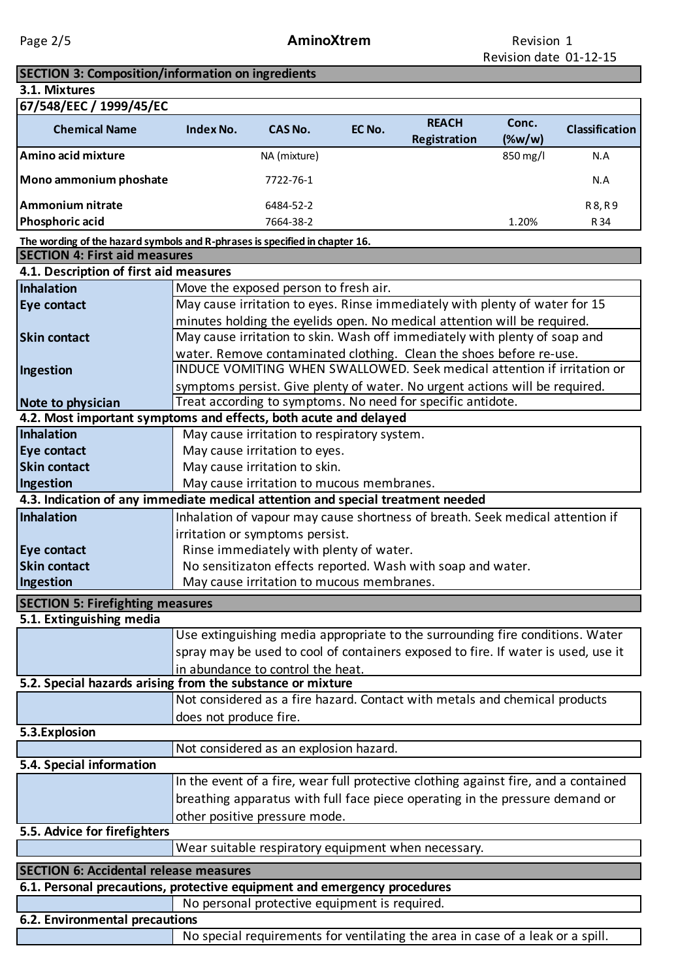| <b>SECTION 3: Composition/information on ingredients</b>                        |                        |                                               |        |                                                                                                                                                        |                    |                       |
|---------------------------------------------------------------------------------|------------------------|-----------------------------------------------|--------|--------------------------------------------------------------------------------------------------------------------------------------------------------|--------------------|-----------------------|
| 3.1. Mixtures                                                                   |                        |                                               |        |                                                                                                                                                        |                    |                       |
| 67/548/EEC / 1999/45/EC                                                         |                        |                                               |        |                                                                                                                                                        |                    |                       |
| <b>Chemical Name</b>                                                            | <b>Index No.</b>       | <b>CAS No.</b>                                | EC No. | <b>REACH</b><br>Registration                                                                                                                           | Conc.<br>$(\%w/w)$ | <b>Classification</b> |
| Amino acid mixture                                                              |                        | NA (mixture)                                  |        |                                                                                                                                                        | 850 mg/l           | N.A                   |
| Mono ammonium phoshate                                                          |                        | 7722-76-1                                     |        |                                                                                                                                                        |                    | N.A                   |
| Ammonium nitrate                                                                |                        | 6484-52-2                                     |        |                                                                                                                                                        |                    | R 8, R 9              |
| Phosphoric acid                                                                 |                        | 7664-38-2                                     |        |                                                                                                                                                        | 1.20%              | R 34                  |
| The wording of the hazard symbols and R-phrases is specified in chapter 16.     |                        |                                               |        |                                                                                                                                                        |                    |                       |
| <b>SECTION 4: First aid measures</b><br>4.1. Description of first aid measures  |                        |                                               |        |                                                                                                                                                        |                    |                       |
| <b>Inhalation</b>                                                               |                        | Move the exposed person to fresh air.         |        |                                                                                                                                                        |                    |                       |
|                                                                                 |                        |                                               |        | May cause irritation to eyes. Rinse immediately with plenty of water for 15                                                                            |                    |                       |
| Eye contact                                                                     |                        |                                               |        |                                                                                                                                                        |                    |                       |
| <b>Skin contact</b>                                                             |                        |                                               |        | minutes holding the eyelids open. No medical attention will be required.<br>May cause irritation to skin. Wash off immediately with plenty of soap and |                    |                       |
|                                                                                 |                        |                                               |        | water. Remove contaminated clothing. Clean the shoes before re-use.                                                                                    |                    |                       |
| Ingestion                                                                       |                        |                                               |        | INDUCE VOMITING WHEN SWALLOWED. Seek medical attention if irritation or                                                                                |                    |                       |
|                                                                                 |                        |                                               |        | symptoms persist. Give plenty of water. No urgent actions will be required.                                                                            |                    |                       |
| Note to physician                                                               |                        |                                               |        | Treat according to symptoms. No need for specific antidote.                                                                                            |                    |                       |
| 4.2. Most important symptoms and effects, both acute and delayed                |                        |                                               |        |                                                                                                                                                        |                    |                       |
| <b>Inhalation</b>                                                               |                        | May cause irritation to respiratory system.   |        |                                                                                                                                                        |                    |                       |
| Eye contact                                                                     |                        | May cause irritation to eyes.                 |        |                                                                                                                                                        |                    |                       |
| <b>Skin contact</b>                                                             |                        | May cause irritation to skin.                 |        |                                                                                                                                                        |                    |                       |
| Ingestion                                                                       |                        | May cause irritation to mucous membranes.     |        |                                                                                                                                                        |                    |                       |
| 4.3. Indication of any immediate medical attention and special treatment needed |                        |                                               |        |                                                                                                                                                        |                    |                       |
| <b>Inhalation</b>                                                               |                        |                                               |        | Inhalation of vapour may cause shortness of breath. Seek medical attention if                                                                          |                    |                       |
|                                                                                 |                        | irritation or symptoms persist.               |        |                                                                                                                                                        |                    |                       |
| Eye contact                                                                     |                        | Rinse immediately with plenty of water.       |        |                                                                                                                                                        |                    |                       |
| <b>Skin contact</b>                                                             |                        |                                               |        | No sensitizaton effects reported. Wash with soap and water.                                                                                            |                    |                       |
| Ingestion                                                                       |                        | May cause irritation to mucous membranes.     |        |                                                                                                                                                        |                    |                       |
| <b>SECTION 5: Firefighting measures</b><br>5.1. Extinguishing media             |                        |                                               |        |                                                                                                                                                        |                    |                       |
|                                                                                 |                        |                                               |        | Use extinguishing media appropriate to the surrounding fire conditions. Water                                                                          |                    |                       |
|                                                                                 |                        |                                               |        | spray may be used to cool of containers exposed to fire. If water is used, use it                                                                      |                    |                       |
|                                                                                 |                        | in abundance to control the heat.             |        |                                                                                                                                                        |                    |                       |
| 5.2. Special hazards arising from the substance or mixture                      |                        |                                               |        |                                                                                                                                                        |                    |                       |
|                                                                                 |                        |                                               |        | Not considered as a fire hazard. Contact with metals and chemical products                                                                             |                    |                       |
|                                                                                 | does not produce fire. |                                               |        |                                                                                                                                                        |                    |                       |
| 5.3. Explosion                                                                  |                        |                                               |        |                                                                                                                                                        |                    |                       |
|                                                                                 |                        | Not considered as an explosion hazard.        |        |                                                                                                                                                        |                    |                       |
| 5.4. Special information                                                        |                        |                                               |        |                                                                                                                                                        |                    |                       |
|                                                                                 |                        |                                               |        | In the event of a fire, wear full protective clothing against fire, and a contained                                                                    |                    |                       |
|                                                                                 |                        |                                               |        | breathing apparatus with full face piece operating in the pressure demand or                                                                           |                    |                       |
|                                                                                 |                        | other positive pressure mode.                 |        |                                                                                                                                                        |                    |                       |
| 5.5. Advice for firefighters                                                    |                        |                                               |        |                                                                                                                                                        |                    |                       |
|                                                                                 |                        |                                               |        | Wear suitable respiratory equipment when necessary.                                                                                                    |                    |                       |
| <b>SECTION 6: Accidental release measures</b>                                   |                        |                                               |        |                                                                                                                                                        |                    |                       |
| 6.1. Personal precautions, protective equipment and emergency procedures        |                        |                                               |        |                                                                                                                                                        |                    |                       |
|                                                                                 |                        | No personal protective equipment is required. |        |                                                                                                                                                        |                    |                       |
| 6.2. Environmental precautions                                                  |                        |                                               |        |                                                                                                                                                        |                    |                       |
|                                                                                 |                        |                                               |        | No special requirements for ventilating the area in case of a leak or a spill.                                                                         |                    |                       |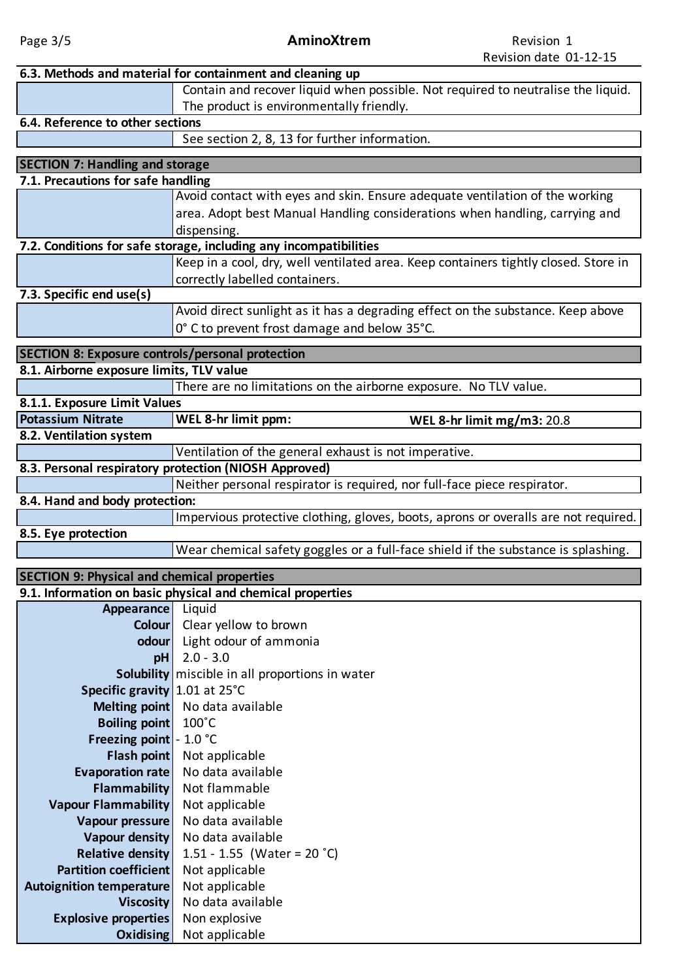|                                                         | 6.3. Methods and material for containment and cleaning up                                                                                                |  |  |
|---------------------------------------------------------|----------------------------------------------------------------------------------------------------------------------------------------------------------|--|--|
|                                                         | Contain and recover liquid when possible. Not required to neutralise the liquid.                                                                         |  |  |
|                                                         | The product is environmentally friendly.                                                                                                                 |  |  |
| 6.4. Reference to other sections                        |                                                                                                                                                          |  |  |
|                                                         | See section 2, 8, 13 for further information.                                                                                                            |  |  |
|                                                         |                                                                                                                                                          |  |  |
| <b>SECTION 7: Handling and storage</b>                  |                                                                                                                                                          |  |  |
| 7.1. Precautions for safe handling                      | Avoid contact with eyes and skin. Ensure adequate ventilation of the working                                                                             |  |  |
|                                                         |                                                                                                                                                          |  |  |
|                                                         | area. Adopt best Manual Handling considerations when handling, carrying and                                                                              |  |  |
|                                                         | dispensing.                                                                                                                                              |  |  |
|                                                         | 7.2. Conditions for safe storage, including any incompatibilities<br>Keep in a cool, dry, well ventilated area. Keep containers tightly closed. Store in |  |  |
|                                                         |                                                                                                                                                          |  |  |
| 7.3. Specific end use(s)                                | correctly labelled containers.                                                                                                                           |  |  |
|                                                         | Avoid direct sunlight as it has a degrading effect on the substance. Keep above                                                                          |  |  |
|                                                         |                                                                                                                                                          |  |  |
|                                                         | 0° C to prevent frost damage and below 35°C.                                                                                                             |  |  |
| <b>SECTION 8: Exposure controls/personal protection</b> |                                                                                                                                                          |  |  |
| 8.1. Airborne exposure limits, TLV value                |                                                                                                                                                          |  |  |
|                                                         | There are no limitations on the airborne exposure. No TLV value.                                                                                         |  |  |
| 8.1.1. Exposure Limit Values                            |                                                                                                                                                          |  |  |
| <b>Potassium Nitrate</b>                                | WEL 8-hr limit ppm:<br>WEL 8-hr limit mg/m3: 20.8                                                                                                        |  |  |
| 8.2. Ventilation system                                 |                                                                                                                                                          |  |  |
|                                                         | Ventilation of the general exhaust is not imperative.                                                                                                    |  |  |
|                                                         | 8.3. Personal respiratory protection (NIOSH Approved)                                                                                                    |  |  |
|                                                         | Neither personal respirator is required, nor full-face piece respirator.                                                                                 |  |  |
| 8.4. Hand and body protection:                          |                                                                                                                                                          |  |  |
|                                                         | Impervious protective clothing, gloves, boots, aprons or overalls are not required.                                                                      |  |  |
| 8.5. Eye protection                                     |                                                                                                                                                          |  |  |
|                                                         | Wear chemical safety goggles or a full-face shield if the substance is splashing.                                                                        |  |  |
| <b>SECTION 9: Physical and chemical properties</b>      |                                                                                                                                                          |  |  |
|                                                         | 9.1. Information on basic physical and chemical properties                                                                                               |  |  |
| <b>Appearance</b>                                       | Liquid                                                                                                                                                   |  |  |
| <b>Colour</b>                                           | Clear yellow to brown                                                                                                                                    |  |  |
| odour                                                   | Light odour of ammonia                                                                                                                                   |  |  |
| pH                                                      | $2.0 - 3.0$                                                                                                                                              |  |  |
|                                                         | <b>Solubility</b> miscible in all proportions in water                                                                                                   |  |  |
| Specific gravity 1.01 at 25°C                           |                                                                                                                                                          |  |  |
| <b>Melting point</b>                                    | No data available                                                                                                                                        |  |  |
| <b>Boiling point</b>                                    | $100^{\circ}$ C                                                                                                                                          |  |  |
| Freezing point - 1.0 °C                                 |                                                                                                                                                          |  |  |
| <b>Flash point</b>                                      | Not applicable                                                                                                                                           |  |  |
| <b>Evaporation rate</b>                                 | No data available                                                                                                                                        |  |  |
| <b>Flammability</b>                                     | Not flammable                                                                                                                                            |  |  |
| <b>Vapour Flammability</b>                              | Not applicable                                                                                                                                           |  |  |
| Vapour pressure                                         | No data available                                                                                                                                        |  |  |
| Vapour density                                          | No data available                                                                                                                                        |  |  |
| <b>Relative density</b>                                 | 1.51 - 1.55 (Water = 20 °C)                                                                                                                              |  |  |
| <b>Partition coefficient</b>                            | Not applicable                                                                                                                                           |  |  |
| <b>Autoignition temperature</b>                         | Not applicable                                                                                                                                           |  |  |
| <b>Viscosity</b>                                        | No data available                                                                                                                                        |  |  |
| <b>Explosive properties</b>                             | Non explosive                                                                                                                                            |  |  |
| Oxidising                                               | Not applicable                                                                                                                                           |  |  |
|                                                         |                                                                                                                                                          |  |  |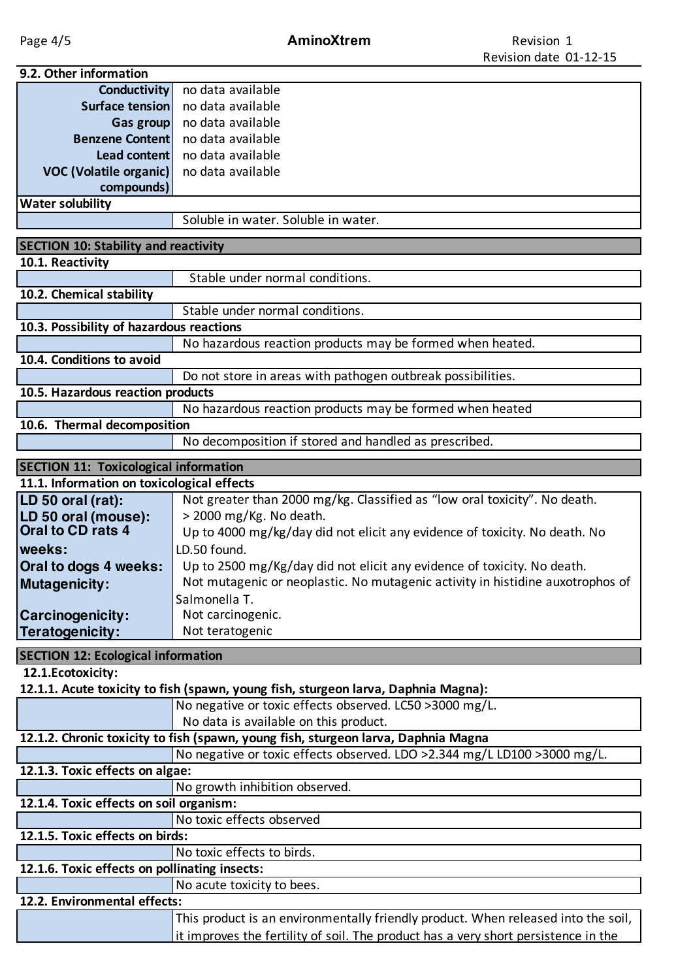| 9.2. Other information                        |                                                                                    |
|-----------------------------------------------|------------------------------------------------------------------------------------|
| <b>Conductivity</b>                           | no data available                                                                  |
| Surface tension                               | no data available                                                                  |
| Gas group                                     | no data available                                                                  |
| <b>Benzene Content</b>                        | no data available                                                                  |
| Lead content                                  | no data available                                                                  |
| <b>VOC (Volatile organic)</b>                 | no data available                                                                  |
| compounds)                                    |                                                                                    |
| <b>Water solubility</b>                       |                                                                                    |
|                                               | Soluble in water. Soluble in water.                                                |
|                                               |                                                                                    |
| <b>SECTION 10: Stability and reactivity</b>   |                                                                                    |
| 10.1. Reactivity                              |                                                                                    |
|                                               | Stable under normal conditions.                                                    |
| 10.2. Chemical stability                      |                                                                                    |
|                                               | Stable under normal conditions.                                                    |
| 10.3. Possibility of hazardous reactions      |                                                                                    |
|                                               | No hazardous reaction products may be formed when heated.                          |
| 10.4. Conditions to avoid                     |                                                                                    |
|                                               | Do not store in areas with pathogen outbreak possibilities.                        |
| 10.5. Hazardous reaction products             |                                                                                    |
|                                               | No hazardous reaction products may be formed when heated                           |
| 10.6. Thermal decomposition                   |                                                                                    |
|                                               | No decomposition if stored and handled as prescribed.                              |
|                                               |                                                                                    |
| <b>SECTION 11: Toxicological information</b>  |                                                                                    |
| 11.1. Information on toxicological effects    |                                                                                    |
| LD 50 oral (rat):                             | Not greater than 2000 mg/kg. Classified as "low oral toxicity". No death.          |
| LD 50 oral (mouse):                           | > 2000 mg/Kg. No death.                                                            |
| <b>Oral to CD rats 4</b>                      | Up to 4000 mg/kg/day did not elicit any evidence of toxicity. No death. No         |
| weeks:                                        | LD.50 found.                                                                       |
| Oral to dogs 4 weeks:                         | Up to 2500 mg/Kg/day did not elicit any evidence of toxicity. No death.            |
| <b>Mutagenicity:</b>                          | Not mutagenic or neoplastic. No mutagenic activity in histidine auxotrophos of     |
|                                               | Salmonella T.                                                                      |
| <b>Carcinogenicity:</b>                       | Not carcinogenic.                                                                  |
| <b>Teratogenicity:</b>                        | Not teratogenic                                                                    |
|                                               |                                                                                    |
| <b>SECTION 12: Ecological information</b>     |                                                                                    |
| 12.1.Ecotoxicity:                             |                                                                                    |
|                                               | 12.1.1. Acute toxicity to fish (spawn, young fish, sturgeon larva, Daphnia Magna): |
|                                               | No negative or toxic effects observed. LC50 >3000 mg/L.                            |
|                                               | No data is available on this product.                                              |
|                                               | 12.1.2. Chronic toxicity to fish (spawn, young fish, sturgeon larva, Daphnia Magna |
|                                               | No negative or toxic effects observed. LDO >2.344 mg/L LD100 >3000 mg/L.           |
| 12.1.3. Toxic effects on algae:               |                                                                                    |
|                                               | No growth inhibition observed.                                                     |
| 12.1.4. Toxic effects on soil organism:       |                                                                                    |
|                                               | No toxic effects observed                                                          |
| 12.1.5. Toxic effects on birds:               |                                                                                    |
|                                               | No toxic effects to birds.                                                         |
| 12.1.6. Toxic effects on pollinating insects: |                                                                                    |
|                                               | No acute toxicity to bees.                                                         |
| 12.2. Environmental effects:                  |                                                                                    |
|                                               | This product is an environmentally friendly product. When released into the soil,  |
|                                               | it improves the fertility of soil. The product has a very short persistence in the |